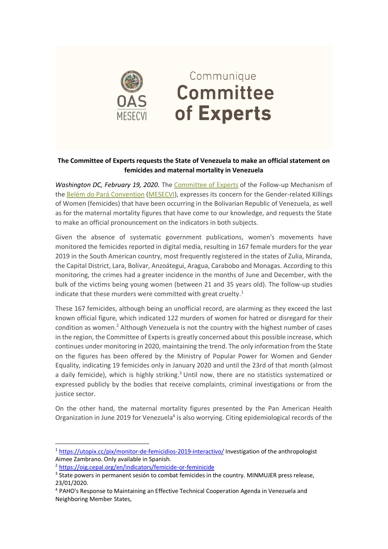

## Communique **Committee** of Experts

## **The Committee of Experts requests the State of Venezuela to make an official statement on femicides and maternal mortality in Venezuela**

*Washington DC, February 19, 2020*. The [Committee of Experts](https://mail.oas.org/owa/redir.aspx?C=40ffd262e68249c596170aeb4cadf5da&URL=http%3a%2f%2fwww.oas.org%2fen%2fmesecvi%2fExperts.asp) of the Follow-up Mechanism of the [Belém do Pará Convention](https://mail.oas.org/owa/redir.aspx?C=40ffd262e68249c596170aeb4cadf5da&URL=http%3a%2f%2fwww.oas.org%2fen%2fmesecvi%2fdocs%2fBelemDoPara-ENGLISH.pdf) [\(MESECVI\)](https://mail.oas.org/owa/redir.aspx?C=40ffd262e68249c596170aeb4cadf5da&URL=http%3a%2f%2fwww.oas.org%2fen%2fmesecvi%2fprocess.asp), expresses its concern for the Gender-related Killings of Women (femicides) that have been occurring in the Bolivarian Republic of Venezuela, as well as for the maternal mortality figures that have come to our knowledge, and requests the State to make an official pronouncement on the indicators in both subjects.

Given the absence of systematic government publications, women's movements have monitored the femicides reported in digital media, resulting in 167 female murders for the year 2019 in the South American country, most frequently registered in the states of Zulia, Miranda, the Capital District, Lara, Bolívar, Anzoátegui, Aragua, Carabobo and Monagas. According to this monitoring, the crimes had a greater incidence in the months of June and December, with the bulk of the victims being young women (between 21 and 35 years old). The follow-up studies indicate that these murders were committed with great cruelty.<sup>1</sup>

These 167 femicides, although being an unofficial record, are alarming as they exceed the last known official figure, which indicated 122 murders of women for hatred or disregard for their condition as women. <sup>2</sup> Although Venezuela is not the country with the highest number of cases in the region, the Committee of Experts is greatly concerned about this possible increase, which continues under monitoring in 2020, maintaining the trend. The only information from the State on the figures has been offered by the Ministry of Popular Power for Women and Gender Equality, indicating 19 femicides only in January 2020 and until the 23rd of that month (almost a daily femicide), which is highly striking.<sup>3</sup> Until now, there are no statistics systematized or expressed publicly by the bodies that receive complaints, criminal investigations or from the justice sector.

On the other hand, the maternal mortality figures presented by the Pan American Health Organization in June 2019 for Venezuela<sup>4</sup> is also worrying. Citing epidemiological records of the

<sup>&</sup>lt;sup>1</sup> <https://utopix.cc/pix/monitor-de-femicidios-2019-interactivo/> Investigation of the anthropologist Aimee Zambrano. Only available in Spanish.

<sup>2</sup> <https://oig.cepal.org/en/indicators/femicide-or-feminicide>

<sup>&</sup>lt;sup>3</sup> State powers in permanent sesión to combat femicides in the country. MINMUJER press release, 23/01/2020.

<sup>4</sup> PAHO's Response to Maintaining an Effective Technical Cooperation Agenda in Venezuela and Neighboring Member States,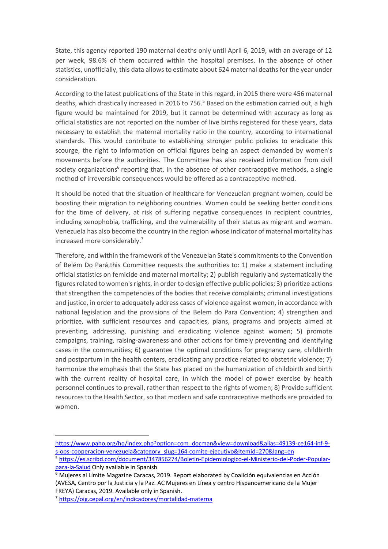State, this agency reported 190 maternal deaths only until April 6, 2019, with an average of 12 per week, 98.6% of them occurred within the hospital premises. In the absence of other statistics, unofficially, this data allows to estimate about 624 maternal deaths for the year under consideration.

According to the latest publications of the State in this regard, in 2015 there were 456 maternal deaths, which drastically increased in 2016 to 756. <sup>5</sup> Based on the estimation carried out, a high figure would be maintained for 2019, but it cannot be determined with accuracy as long as official statistics are not reported on the number of live births registered for these years, data necessary to establish the maternal mortality ratio in the country, according to international standards. This would contribute to establishing stronger public policies to eradicate this scourge, the right to information on official figures being an aspect demanded by women's movements before the authorities. The Committee has also received information from civil society organizations<sup>6</sup> reporting that, in the absence of other contraceptive methods, a single method of irreversible consequences would be offered as a contraceptive method.

It should be noted that the situation of healthcare for Venezuelan pregnant women, could be boosting their migration to neighboring countries. Women could be seeking better conditions for the time of delivery, at risk of suffering negative consequences in recipient countries, including xenophobia, trafficking, and the vulnerability of their status as migrant and woman. Venezuela has also become the country in the region whose indicator of maternal mortality has increased more considerably. 7

Therefore, and within the framework of the Venezuelan State's commitments to the Convention of Belém Do Pará,this Committee requests the authorities to: 1) make a statement including official statistics on femicide and maternal mortality; 2) publish regularly and systematically the figures related to women's rights, in order to design effective public policies; 3) prioritize actions that strengthen the competencies of the bodies that receive complaints; criminal investigations and justice, in order to adequately address cases of violence against women, in accordance with national legislation and the provisions of the Belem do Para Convention; 4) strengthen and prioritize, with sufficient resources and capacities, plans, programs and projects aimed at preventing, addressing, punishing and eradicating violence against women; 5) promote campaigns, training, raising-awareness and other actions for timely preventing and identifying cases in the communities; 6) guarantee the optimal conditions for pregnancy care, childbirth and postpartum in the health centers, eradicating any practice related to obstetric violence; 7) harmonize the emphasis that the State has placed on the humanization of childbirth and birth with the current reality of hospital care, in which the model of power exercise by health personnel continues to prevail, rather than respect to the rights of women; 8) Provide sufficient resources to the Health Sector, so that modern and safe contraceptive methods are provided to women.

[https://www.paho.org/hq/index.php?option=com\\_docman&view=download&alias=49139-ce164-inf-9](https://www.paho.org/hq/index.php?option=com_docman&view=download&alias=49139-ce164-inf-9-s-ops-cooperacion-venezuela&category_slug=164-comite-ejecutivo&Itemid=270&lang=en) [s-ops-cooperacion-venezuela&category\\_slug=164-comite-ejecutivo&Itemid=270&lang=en](https://www.paho.org/hq/index.php?option=com_docman&view=download&alias=49139-ce164-inf-9-s-ops-cooperacion-venezuela&category_slug=164-comite-ejecutivo&Itemid=270&lang=en)

<sup>5</sup> [https://es.scribd.com/document/347856274/Boletin-Epidemiologico-el-Ministerio-del-Poder-Popular](https://es.scribd.com/document/347856274/Boletin-Epidemiologico-el-Ministerio-del-Poder-Popular-para-la-Salud)[para-la-Salud](https://es.scribd.com/document/347856274/Boletin-Epidemiologico-el-Ministerio-del-Poder-Popular-para-la-Salud) Only available in Spanish

<sup>6</sup> Mujeres al Límite Magazine Caracas, 2019. Report elaborated by Coalición equivalencias en Acción (AVESA, Centro por la Justicia y la Paz. AC Mujeres en Línea y centro Hispanoamericano de la Mujer FREYA) Caracas, 2019. Available only in Spanish.

<sup>7</sup> <https://oig.cepal.org/en/indicadores/mortalidad-materna>